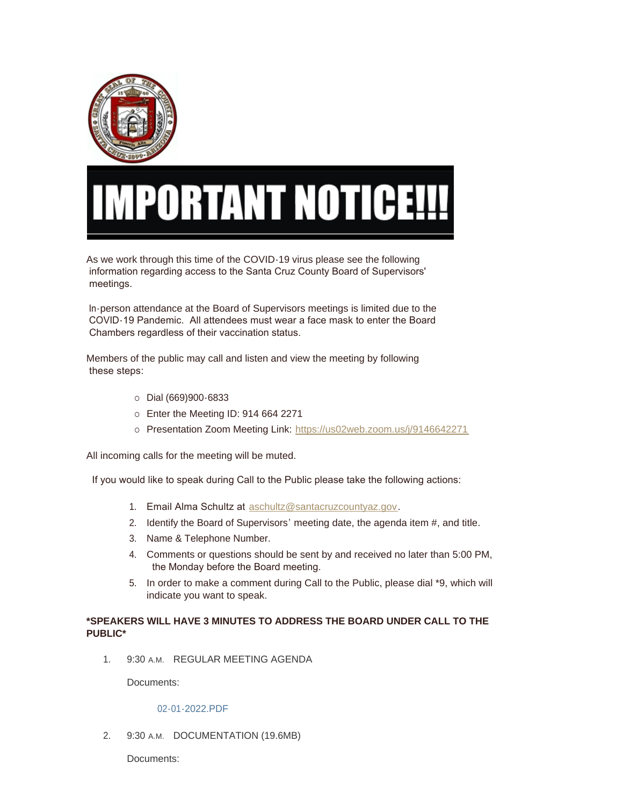

## **PORTANT NOTICE!!**

As we work through this time of the COVID-19 virus please see the following information regarding access to the Santa Cruz County Board of Supervisors' meetings.

 In-person attendance at the Board of Supervisors meetings is limited due to the COVID-19 Pandemic. All attendees must wear a face mask to enter the Board Chambers regardless of their vaccination status.

Members of the public may call and listen and view the meeting by following these steps:

- $O$  Dial (669)900-6833
- o Enter the Meeting ID: 914 664 2271
- ¡ Presentation Zoom Meeting Link: <https://us02web.zoom.us/j/9146642271>

All incoming calls for the meeting will be muted.

If you would like to speak during Call to the Public please take the following actions:

- 1. Email Alma Schultz at [aschultz@santacruzcountyaz.gov](mailto:thampton@santacruzcountyaz.gov).
- 2. Identify the Board of Supervisors' meeting date, the agenda item #, and title.
- 3. Name & Telephone Number.
- 4. Comments or questions should be sent by and received no later than 5:00 PM, the Monday before the Board meeting.
- 5. In order to make a comment during Call to the Public, please dial \*9, which will indicate you want to speak.

## **\*SPEAKERS WILL HAVE 3 MINUTES TO ADDRESS THE BOARD UNDER CALL TO THE PUBLIC\***

1. 9:30 A.M. REGULAR MEETING AGENDA

Documents:

## [02-01-2022.PDF](https://www.santacruzcountyaz.gov/AgendaCenter/ViewFile/Item/1528?fileID=27924)

2. 9:30 A.M. DOCUMENTATION (19.6MB)

Documents: